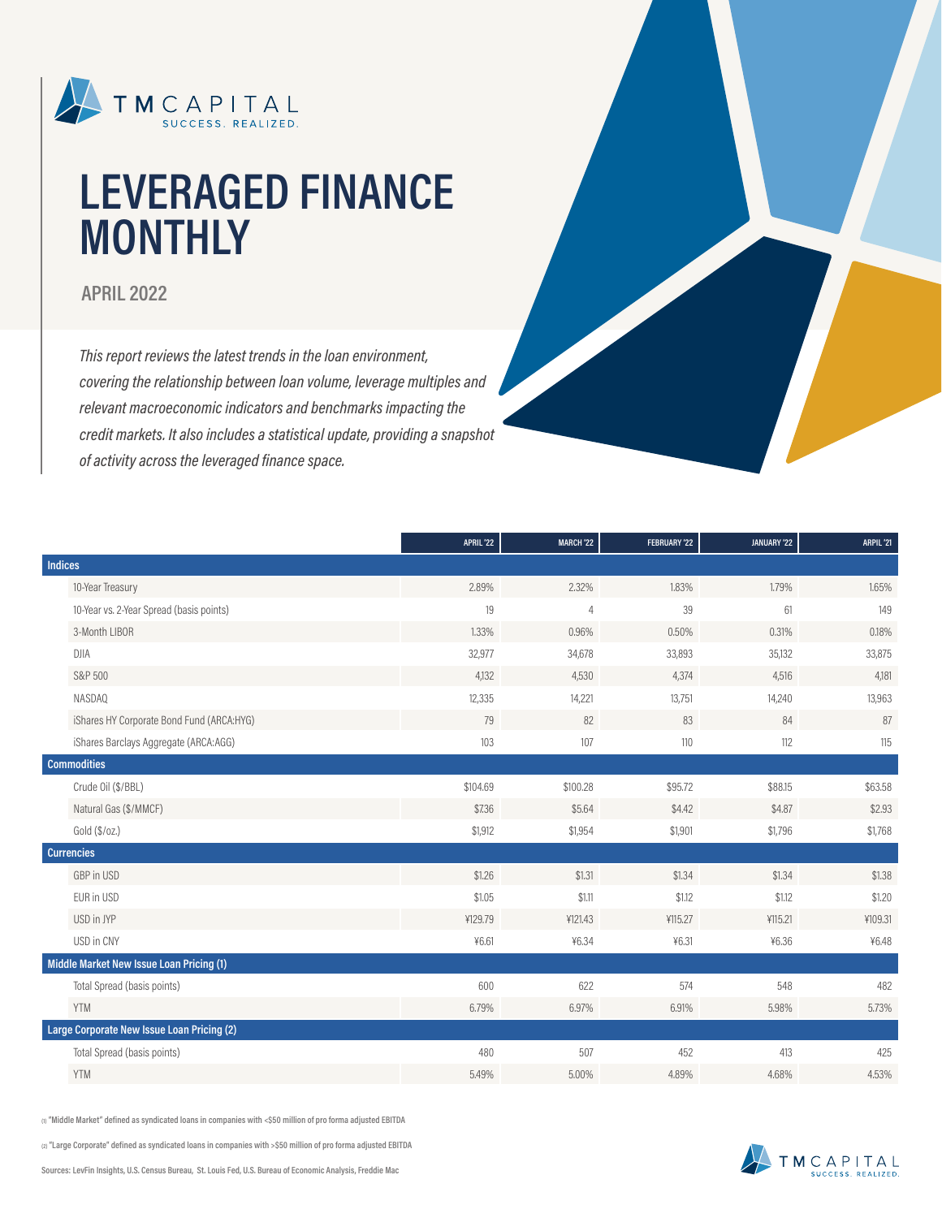

# **LEVERAGED FINANCE MONTHLY**

### **APRIL 2022**

*This report reviews the latest trends in the loan environment, covering the relationship between loan volume, leverage multiples and relevant macroeconomic indicators and benchmarks impacting the credit markets. It also includes a statistical update, providing a snapshot of activity across the leveraged finance space.*

|                                            | APRIL'22 | <b>MARCH '22</b> | FEBRUARY '22 | JANUARY '22 | ARPIL'21 |
|--------------------------------------------|----------|------------------|--------------|-------------|----------|
| <b>Indices</b>                             |          |                  |              |             |          |
| 10-Year Treasury                           | 2.89%    | 2.32%            | 1.83%        | 1.79%       | 1.65%    |
| 10-Year vs. 2-Year Spread (basis points)   | 19       | $\overline{4}$   | 39           | 61          | 149      |
| 3-Month LIBOR                              | 1.33%    | 0.96%            | 0.50%        | 0.31%       | 0.18%    |
| <b>DJIA</b>                                | 32,977   | 34,678           | 33,893       | 35,132      | 33,875   |
| S&P 500                                    | 4,132    | 4,530            | 4,374        | 4,516       | 4,181    |
| NASDAQ                                     | 12,335   | 14,221           | 13,751       | 14,240      | 13,963   |
| iShares HY Corporate Bond Fund (ARCA:HYG)  | 79       | 82               | 83           | 84          | 87       |
| iShares Barclays Aggregate (ARCA:AGG)      | 103      | 107              | 110          | 112         | 115      |
| <b>Commodities</b>                         |          |                  |              |             |          |
| Crude Oil (\$/BBL)                         | \$104.69 | \$100.28         | \$95.72      | \$88.15     | \$63.58  |
| Natural Gas (\$/MMCF)                      | \$7.36   | \$5.64           | \$4.42       | \$4.87      | \$2.93   |
| Gold (\$/oz.)                              | \$1,912  | \$1,954          | \$1,901      | \$1,796     | \$1,768  |
| <b>Currencies</b>                          |          |                  |              |             |          |
| GBP in USD                                 | \$1.26   | \$1.31           | \$1.34       | \$1.34      | \$1.38   |
| EUR in USD                                 | \$1.05   | \$1.11           | \$1.12       | \$1.12      | \$1.20   |
| USD in JYP                                 | ¥129.79  | ¥121.43          | ¥115.27      | ¥115.21     | ¥109.31  |
| USD in CNY                                 | 46.61    | ¥6.34            | 46.31        | ¥6.36       | ¥6.48    |
| Middle Market New Issue Loan Pricing (1)   |          |                  |              |             |          |
| Total Spread (basis points)                | 600      | 622              | 574          | 548         | 482      |
| <b>YTM</b>                                 | 6,79%    | 6.97%            | 6.91%        | 5.98%       | 5.73%    |
| Large Corporate New Issue Loan Pricing (2) |          |                  |              |             |          |
| Total Spread (basis points)                | 480      | 507              | 452          | 413         | 425      |
| <b>YTM</b>                                 | 5.49%    | 5.00%            | 4.89%        | 4.68%       | 4.53%    |

**(1) "Middle Market" defined as syndicated loans in companies with <\$50 million of pro forma adjusted EBITDA**

**(2) "Large Corporate" defined as syndicated loans in companies with >\$50 million of pro forma adjusted EBITDA**

**Sources: LevFin Insights, U.S. Census Bureau, St. Louis Fed, U.S. Bureau of Economic Analysis, Freddie Mac**

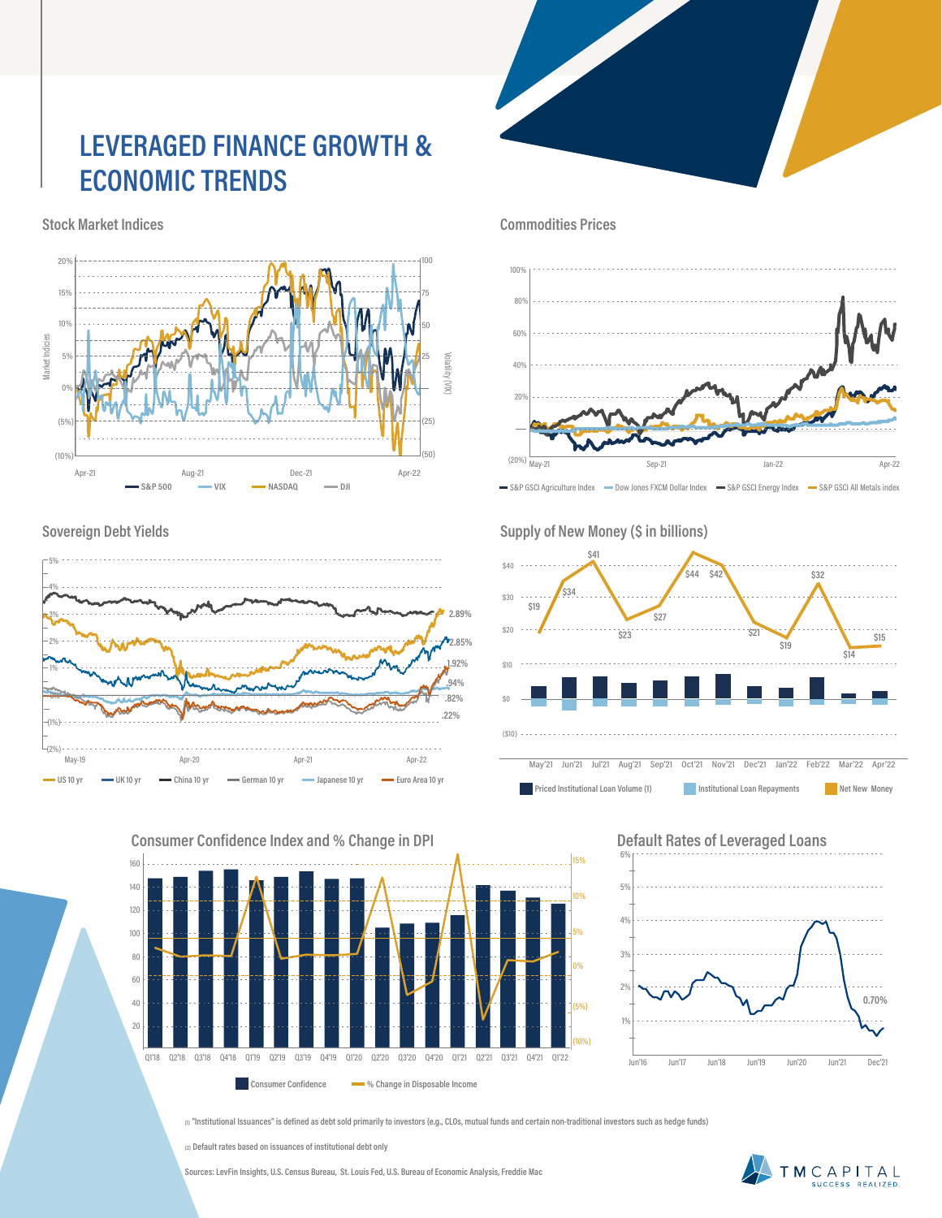## **LEVERAGED FINANCE GROWTH & ECONOMIC TRENDS**

**Stock Market Indices**



**Sovereign Debt Yields**



**160 Consumer Confidence Index and % Change in DPI**



**Commodities Prices**



S&P GSCI Agriculture Index - Dow Jones FXCM Dollar Index - S&P GSCI Energy Index - S&P GSCI All Metals index

Supply of New Money (\$ in billions)



May'21 Jun'21 Jul'21 Aug'21 Sep'21 Oct'21 Nov'21 Dec'21 Jan'22 Feb'22 Mar'22 Apr'22 **Priced Institutional Loan Volume (1) Institutional Loan Repayments Net New Money** 



**(1) "Institutional Issuances" is defined as debt sold primarily to investors (e.g., CLOs, mutual funds and certain non-traditional investors such as hedge funds)**

**(2) Default rates based on issuances of institutional debt only**

**Sources: LevFin Insights, U.S. Census Bureau, St. Louis Fed, U.S. Bureau of Economic Analysis, Freddie Mac**